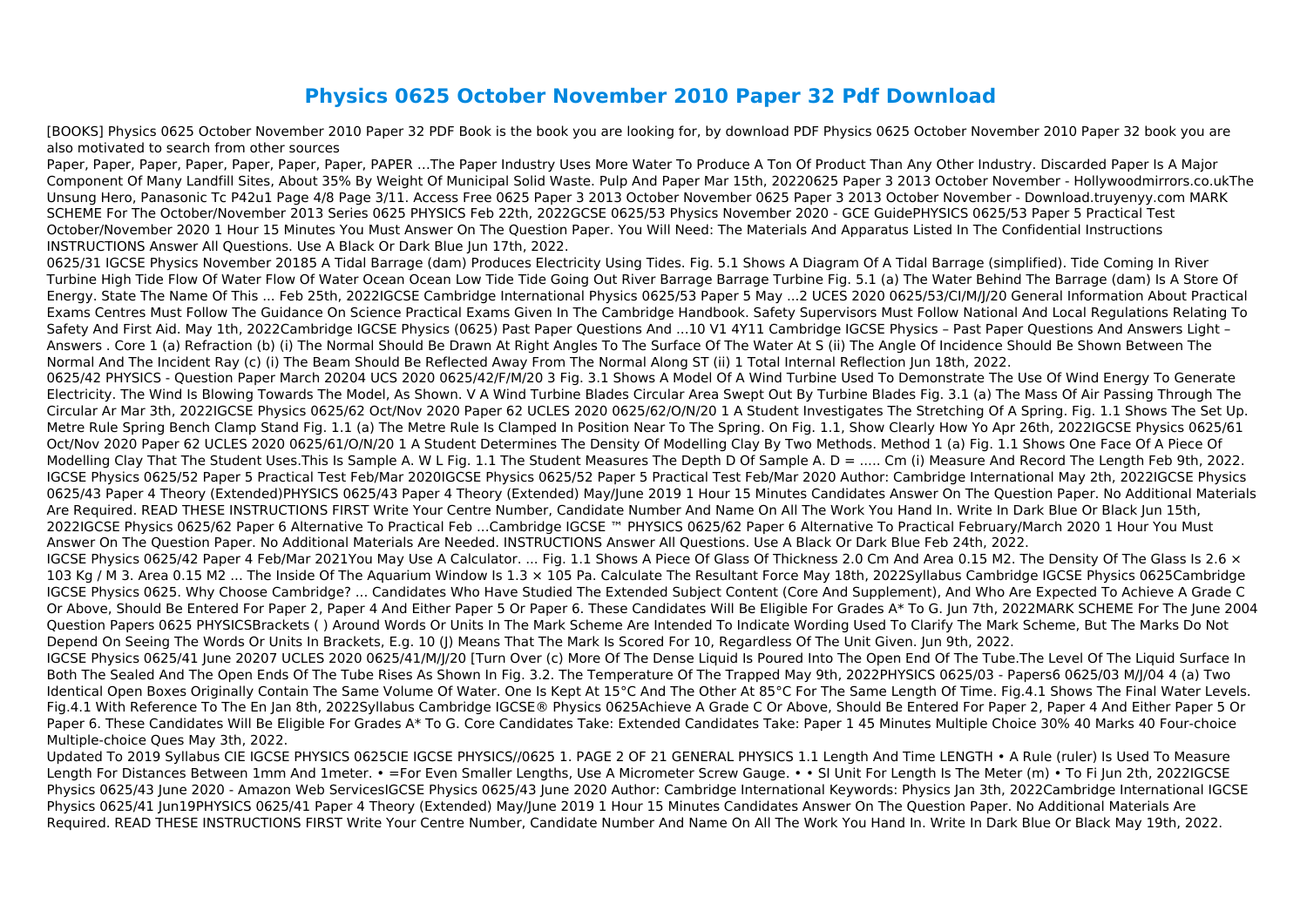## **Physics 0625 October November 2010 Paper 32 Pdf Download**

[BOOKS] Physics 0625 October November 2010 Paper 32 PDF Book is the book you are looking for, by download PDF Physics 0625 October November 2010 Paper 32 book you are also motivated to search from other sources

Paper, Paper, Paper, Paper, Paper, Paper, Paper, PAPER …The Paper Industry Uses More Water To Produce A Ton Of Product Than Any Other Industry. Discarded Paper Is A Major Component Of Many Landfill Sites, About 35% By Weight Of Municipal Solid Waste. Pulp And Paper Mar 15th, 20220625 Paper 3 2013 October November - Hollywoodmirrors.co.ukThe Unsung Hero, Panasonic Tc P42u1 Page 4/8 Page 3/11. Access Free 0625 Paper 3 2013 October November 0625 Paper 3 2013 October November - Download.truyenyy.com MARK SCHEME For The October/November 2013 Series 0625 PHYSICS Feb 22th, 2022GCSE 0625/53 Physics November 2020 - GCE GuidePHYSICS 0625/53 Paper 5 Practical Test October/November 2020 1 Hour 15 Minutes You Must Answer On The Question Paper. You Will Need: The Materials And Apparatus Listed In The Confidential Instructions INSTRUCTIONS Answer All Questions. Use A Black Or Dark Blue Jun 17th, 2022.

0625/31 IGCSE Physics November 20185 A Tidal Barrage (dam) Produces Electricity Using Tides. Fig. 5.1 Shows A Diagram Of A Tidal Barrage (simplified). Tide Coming In River Turbine High Tide Flow Of Water Flow Of Water Ocean Ocean Low Tide Tide Going Out River Barrage Barrage Turbine Fig. 5.1 (a) The Water Behind The Barrage (dam) Is A Store Of Energy. State The Name Of This ... Feb 25th, 2022IGCSE Cambridge International Physics 0625/53 Paper 5 May ...2 UCES 2020 0625/53/CI/M/J/20 General Information About Practical Exams Centres Must Follow The Guidance On Science Practical Exams Given In The Cambridge Handbook. Safety Supervisors Must Follow National And Local Regulations Relating To Safety And First Aid. May 1th, 2022Cambridge IGCSE Physics (0625) Past Paper Questions And ...10 V1 4Y11 Cambridge IGCSE Physics – Past Paper Questions And Answers Light – Answers . Core 1 (a) Refraction (b) (i) The Normal Should Be Drawn At Right Angles To The Surface Of The Water At S (ii) The Angle Of Incidence Should Be Shown Between The Normal And The Incident Ray (c) (i) The Beam Should Be Reflected Away From The Normal Along ST (ii) 1 Total Internal Reflection Jun 18th, 2022. 0625/42 PHYSICS - Question Paper March 20204 UCS 2020 0625/42/F/M/20 3 Fig. 3.1 Shows A Model Of A Wind Turbine Used To Demonstrate The Use Of Wind Energy To Generate Electricity. The Wind Is Blowing Towards The Model, As Shown. V A Wind Turbine Blades Circular Area Swept Out By Turbine Blades Fig. 3.1 (a) The Mass Of Air Passing Through The Circular Ar Mar 3th, 2022IGCSE Physics 0625/62 Oct/Nov 2020 Paper 62 UCLES 2020 0625/62/O/N/20 1 A Student Investigates The Stretching Of A Spring. Fig. 1.1 Shows The Set Up. Metre Rule Spring Bench Clamp Stand Fig. 1.1 (a) The Metre Rule Is Clamped In Position Near To The Spring. On Fig. 1.1, Show Clearly How Yo Apr 26th, 2022IGCSE Physics 0625/61 Oct/Nov 2020 Paper 62 UCLES 2020 0625/61/O/N/20 1 A Student Determines The Density Of Modelling Clay By Two Methods. Method 1 (a) Fig. 1.1 Shows One Face Of A Piece Of Modelling Clay That The Student Uses.This Is Sample A. W L Fig. 1.1 The Student Measures The Depth D Of Sample A. D = ..... Cm (i) Measure And Record The Length Feb 9th, 2022. IGCSE Physics 0625/52 Paper 5 Practical Test Feb/Mar 2020IGCSE Physics 0625/52 Paper 5 Practical Test Feb/Mar 2020 Author: Cambridge International May 2th, 2022IGCSE Physics 0625/43 Paper 4 Theory (Extended)PHYSICS 0625/43 Paper 4 Theory (Extended) May/June 2019 1 Hour 15 Minutes Candidates Answer On The Question Paper. No Additional Materials Are Required. READ THESE INSTRUCTIONS FIRST Write Your Centre Number, Candidate Number And Name On All The Work You Hand In. Write In Dark Blue Or Black Jun 15th, 2022IGCSE Physics 0625/62 Paper 6 Alternative To Practical Feb ...Cambridge IGCSE ™ PHYSICS 0625/62 Paper 6 Alternative To Practical February/March 2020 1 Hour You Must Answer On The Question Paper. No Additional Materials Are Needed. INSTRUCTIONS Answer All Questions. Use A Black Or Dark Blue Feb 24th, 2022. IGCSE Physics 0625/42 Paper 4 Feb/Mar 2021You May Use A Calculator. ... Fig. 1.1 Shows A Piece Of Glass Of Thickness 2.0 Cm And Area 0.15 M2. The Density Of The Glass Is 2.6  $\times$ 103 Kg / M 3. Area 0.15 M2 ... The Inside Of The Aquarium Window Is 1.3 × 105 Pa. Calculate The Resultant Force May 18th, 2022Syllabus Cambridge IGCSE Physics 0625Cambridge IGCSE Physics 0625. Why Choose Cambridge? ... Candidates Who Have Studied The Extended Subject Content (Core And Supplement), And Who Are Expected To Achieve A Grade C Or Above, Should Be Entered For Paper 2, Paper 4 And Either Paper 5 Or Paper 6. These Candidates Will Be Eligible For Grades A\* To G. Jun 7th, 2022MARK SCHEME For The June 2004 Question Papers 0625 PHYSICSBrackets ( ) Around Words Or Units In The Mark Scheme Are Intended To Indicate Wording Used To Clarify The Mark Scheme, But The Marks Do Not Depend On Seeing The Words Or Units In Brackets, E.g. 10 (I) Means That The Mark Is Scored For 10, Regardless Of The Unit Given. Jun 9th, 2022. IGCSE Physics 0625/41 June 20207 UCLES 2020 0625/41/M/J/20 [Turn Over (c) More Of The Dense Liquid Is Poured Into The Open End Of The Tube.The Level Of The Liquid Surface In Both The Sealed And The Open Ends Of The Tube Rises As Shown In Fig. 3.2. The Temperature Of The Trapped May 9th, 2022PHYSICS 0625/03 - Papers6 0625/03 M/J/04 4 (a) Two Identical Open Boxes Originally Contain The Same Volume Of Water. One Is Kept At 15°C And The Other At 85°C For The Same Length Of Time. Fig.4.1 Shows The Final Water Levels. Fig.4.1 With Reference To The En Jan 8th, 2022Syllabus Cambridge IGCSE® Physics 0625Achieve A Grade C Or Above, Should Be Entered For Paper 2, Paper 4 And Either Paper 5 Or Paper 6. These Candidates Will Be Eligible For Grades A\* To G. Core Candidates Take: Extended Candidates Take: Paper 1 45 Minutes Multiple Choice 30% 40 Marks 40 Four-choice Multiple-choice Ques May 3th, 2022.

Updated To 2019 Syllabus CIE IGCSE PHYSICS 0625CIE IGCSE PHYSICS//0625 1. PAGE 2 OF 21 GENERAL PHYSICS 1.1 Length And Time LENGTH • A Rule (ruler) Is Used To Measure Length For Distances Between 1mm And 1meter. • =For Even Smaller Lengths, Use A Micrometer Screw Gauge. • • SI Unit For Length Is The Meter (m) • To Fi Jun 2th, 2022IGCSE Physics 0625/43 June 2020 - Amazon Web ServicesIGCSE Physics 0625/43 June 2020 Author: Cambridge International Keywords: Physics Jan 3th, 2022Cambridge International IGCSE Physics 0625/41 Jun19PHYSICS 0625/41 Paper 4 Theory (Extended) May/June 2019 1 Hour 15 Minutes Candidates Answer On The Question Paper. No Additional Materials Are Required. READ THESE INSTRUCTIONS FIRST Write Your Centre Number, Candidate Number And Name On All The Work You Hand In. Write In Dark Blue Or Black May 19th, 2022.